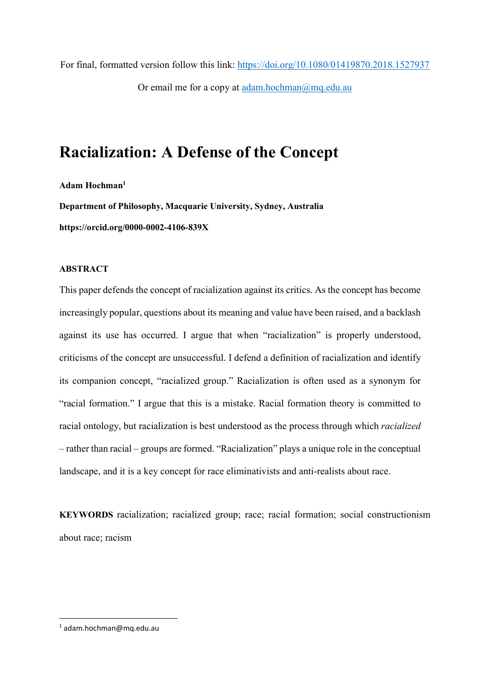For final, formatted version follow this link: https://doi.org/10.1080/01419870.2018.1527937 Or email me for a copy at  $adam.hochman@mq.edu.au$ 

# Racialization: A Defense of the Concept

Adam Hochman<sup>1</sup>

Department of Philosophy, Macquarie University, Sydney, Australia https://orcid.org/0000-0002-4106-839X

# ABSTRACT

This paper defends the concept of racialization against its critics. As the concept has become increasingly popular, questions about its meaning and value have been raised, and a backlash against its use has occurred. I argue that when "racialization" is properly understood, criticisms of the concept are unsuccessful. I defend a definition of racialization and identify its companion concept, "racialized group." Racialization is often used as a synonym for "racial formation." I argue that this is a mistake. Racial formation theory is committed to racial ontology, but racialization is best understood as the process through which racialized – rather than racial – groups are formed. "Racialization" plays a unique role in the conceptual landscape, and it is a key concept for race eliminativists and anti-realists about race.

KEYWORDS racialization; racialized group; race; racial formation; social constructionism about race; racism

-

<sup>1</sup> adam.hochman@mq.edu.au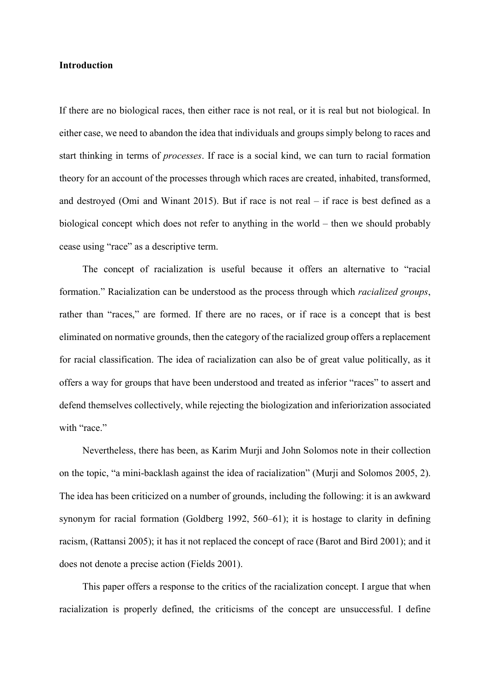#### Introduction

If there are no biological races, then either race is not real, or it is real but not biological. In either case, we need to abandon the idea that individuals and groups simply belong to races and start thinking in terms of processes. If race is a social kind, we can turn to racial formation theory for an account of the processes through which races are created, inhabited, transformed, and destroyed (Omi and Winant 2015). But if race is not real – if race is best defined as a biological concept which does not refer to anything in the world – then we should probably cease using "race" as a descriptive term.

The concept of racialization is useful because it offers an alternative to "racial formation." Racialization can be understood as the process through which *racialized groups*, rather than "races," are formed. If there are no races, or if race is a concept that is best eliminated on normative grounds, then the category of the racialized group offers a replacement for racial classification. The idea of racialization can also be of great value politically, as it offers a way for groups that have been understood and treated as inferior "races" to assert and defend themselves collectively, while rejecting the biologization and inferiorization associated with "race."

Nevertheless, there has been, as Karim Murji and John Solomos note in their collection on the topic, "a mini-backlash against the idea of racialization" (Murji and Solomos 2005, 2). The idea has been criticized on a number of grounds, including the following: it is an awkward synonym for racial formation (Goldberg 1992, 560–61); it is hostage to clarity in defining racism, (Rattansi 2005); it has it not replaced the concept of race (Barot and Bird 2001); and it does not denote a precise action (Fields 2001).

This paper offers a response to the critics of the racialization concept. I argue that when racialization is properly defined, the criticisms of the concept are unsuccessful. I define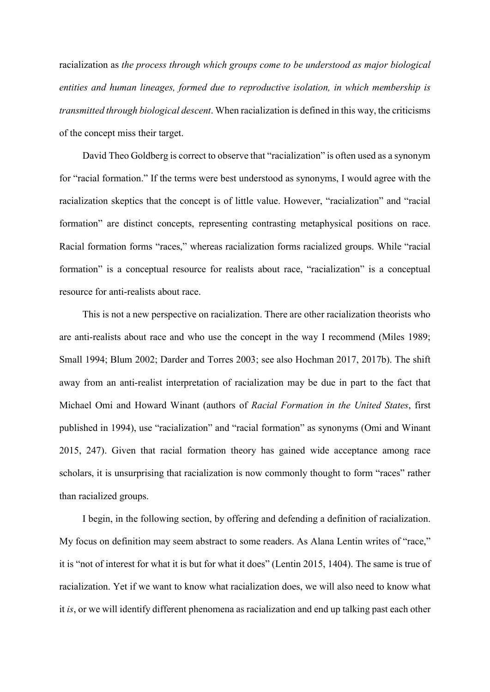racialization as the process through which groups come to be understood as major biological entities and human lineages, formed due to reproductive isolation, in which membership is transmitted through biological descent. When racialization is defined in this way, the criticisms of the concept miss their target.

David Theo Goldberg is correct to observe that "racialization" is often used as a synonym for "racial formation." If the terms were best understood as synonyms, I would agree with the racialization skeptics that the concept is of little value. However, "racialization" and "racial formation" are distinct concepts, representing contrasting metaphysical positions on race. Racial formation forms "races," whereas racialization forms racialized groups. While "racial formation" is a conceptual resource for realists about race, "racialization" is a conceptual resource for anti-realists about race.

This is not a new perspective on racialization. There are other racialization theorists who are anti-realists about race and who use the concept in the way I recommend (Miles 1989; Small 1994; Blum 2002; Darder and Torres 2003; see also Hochman 2017, 2017b). The shift away from an anti-realist interpretation of racialization may be due in part to the fact that Michael Omi and Howard Winant (authors of Racial Formation in the United States, first published in 1994), use "racialization" and "racial formation" as synonyms (Omi and Winant 2015, 247). Given that racial formation theory has gained wide acceptance among race scholars, it is unsurprising that racialization is now commonly thought to form "races" rather than racialized groups.

I begin, in the following section, by offering and defending a definition of racialization. My focus on definition may seem abstract to some readers. As Alana Lentin writes of "race," it is "not of interest for what it is but for what it does" (Lentin 2015, 1404). The same is true of racialization. Yet if we want to know what racialization does, we will also need to know what it is, or we will identify different phenomena as racialization and end up talking past each other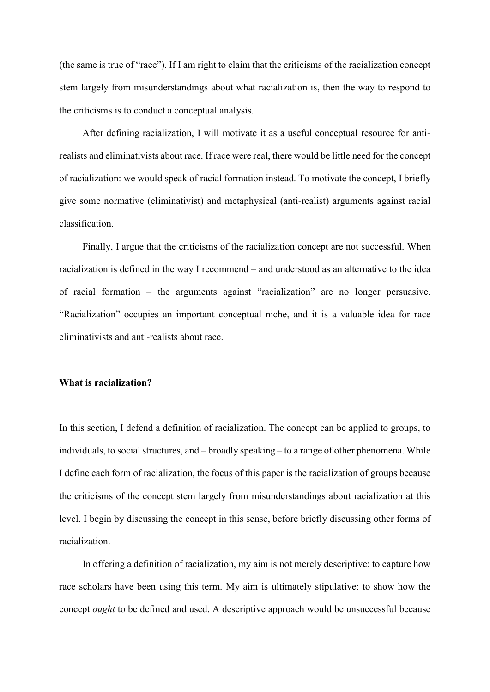(the same is true of "race"). If I am right to claim that the criticisms of the racialization concept stem largely from misunderstandings about what racialization is, then the way to respond to the criticisms is to conduct a conceptual analysis.

After defining racialization, I will motivate it as a useful conceptual resource for antirealists and eliminativists about race. If race were real, there would be little need for the concept of racialization: we would speak of racial formation instead. To motivate the concept, I briefly give some normative (eliminativist) and metaphysical (anti-realist) arguments against racial classification.

Finally, I argue that the criticisms of the racialization concept are not successful. When racialization is defined in the way I recommend – and understood as an alternative to the idea of racial formation – the arguments against "racialization" are no longer persuasive. "Racialization" occupies an important conceptual niche, and it is a valuable idea for race eliminativists and anti-realists about race.

# What is racialization?

In this section, I defend a definition of racialization. The concept can be applied to groups, to individuals, to social structures, and – broadly speaking – to a range of other phenomena. While I define each form of racialization, the focus of this paper is the racialization of groups because the criticisms of the concept stem largely from misunderstandings about racialization at this level. I begin by discussing the concept in this sense, before briefly discussing other forms of racialization.

In offering a definition of racialization, my aim is not merely descriptive: to capture how race scholars have been using this term. My aim is ultimately stipulative: to show how the concept ought to be defined and used. A descriptive approach would be unsuccessful because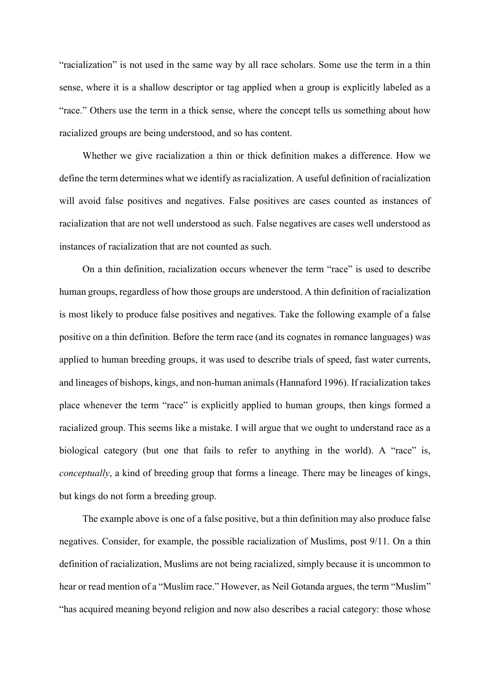"racialization" is not used in the same way by all race scholars. Some use the term in a thin sense, where it is a shallow descriptor or tag applied when a group is explicitly labeled as a "race." Others use the term in a thick sense, where the concept tells us something about how racialized groups are being understood, and so has content.

Whether we give racialization a thin or thick definition makes a difference. How we define the term determines what we identify as racialization. A useful definition of racialization will avoid false positives and negatives. False positives are cases counted as instances of racialization that are not well understood as such. False negatives are cases well understood as instances of racialization that are not counted as such.

On a thin definition, racialization occurs whenever the term "race" is used to describe human groups, regardless of how those groups are understood. A thin definition of racialization is most likely to produce false positives and negatives. Take the following example of a false positive on a thin definition. Before the term race (and its cognates in romance languages) was applied to human breeding groups, it was used to describe trials of speed, fast water currents, and lineages of bishops, kings, and non-human animals (Hannaford 1996). If racialization takes place whenever the term "race" is explicitly applied to human groups, then kings formed a racialized group. This seems like a mistake. I will argue that we ought to understand race as a biological category (but one that fails to refer to anything in the world). A "race" is, conceptually, a kind of breeding group that forms a lineage. There may be lineages of kings, but kings do not form a breeding group.

The example above is one of a false positive, but a thin definition may also produce false negatives. Consider, for example, the possible racialization of Muslims, post 9/11. On a thin definition of racialization, Muslims are not being racialized, simply because it is uncommon to hear or read mention of a "Muslim race." However, as Neil Gotanda argues, the term "Muslim" "has acquired meaning beyond religion and now also describes a racial category: those whose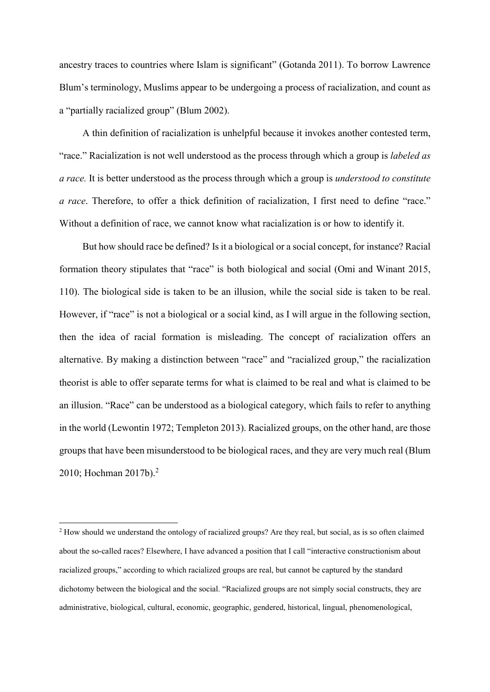ancestry traces to countries where Islam is significant" (Gotanda 2011). To borrow Lawrence Blum's terminology, Muslims appear to be undergoing a process of racialization, and count as a "partially racialized group" (Blum 2002).

A thin definition of racialization is unhelpful because it invokes another contested term, "race." Racialization is not well understood as the process through which a group is *labeled as* a race. It is better understood as the process through which a group is understood to constitute a race. Therefore, to offer a thick definition of racialization, I first need to define "race." Without a definition of race, we cannot know what racialization is or how to identify it.

But how should race be defined? Is it a biological or a social concept, for instance? Racial formation theory stipulates that "race" is both biological and social (Omi and Winant 2015, 110). The biological side is taken to be an illusion, while the social side is taken to be real. However, if "race" is not a biological or a social kind, as I will argue in the following section, then the idea of racial formation is misleading. The concept of racialization offers an alternative. By making a distinction between "race" and "racialized group," the racialization theorist is able to offer separate terms for what is claimed to be real and what is claimed to be an illusion. "Race" can be understood as a biological category, which fails to refer to anything in the world (Lewontin 1972; Templeton 2013). Racialized groups, on the other hand, are those groups that have been misunderstood to be biological races, and they are very much real (Blum 2010; Hochman  $2017b$ ).<sup>2</sup>

-

<sup>&</sup>lt;sup>2</sup> How should we understand the ontology of racialized groups? Are they real, but social, as is so often claimed about the so-called races? Elsewhere, I have advanced a position that I call "interactive constructionism about racialized groups," according to which racialized groups are real, but cannot be captured by the standard dichotomy between the biological and the social. "Racialized groups are not simply social constructs, they are administrative, biological, cultural, economic, geographic, gendered, historical, lingual, phenomenological,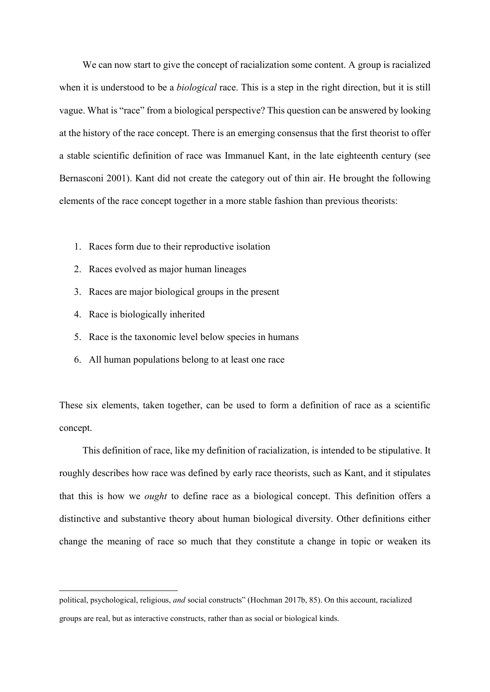We can now start to give the concept of racialization some content. A group is racialized when it is understood to be a *biological* race. This is a step in the right direction, but it is still vague. What is "race" from a biological perspective? This question can be answered by looking at the history of the race concept. There is an emerging consensus that the first theorist to offer a stable scientific definition of race was Immanuel Kant, in the late eighteenth century (see Bernasconi 2001). Kant did not create the category out of thin air. He brought the following elements of the race concept together in a more stable fashion than previous theorists:

- 1. Races form due to their reproductive isolation
- 2. Races evolved as major human lineages
- 3. Races are major biological groups in the present
- 4. Race is biologically inherited

-

- 5. Race is the taxonomic level below species in humans
- 6. All human populations belong to at least one race

These six elements, taken together, can be used to form a definition of race as a scientific concept.

This definition of race, like my definition of racialization, is intended to be stipulative. It roughly describes how race was defined by early race theorists, such as Kant, and it stipulates that this is how we ought to define race as a biological concept. This definition offers a distinctive and substantive theory about human biological diversity. Other definitions either change the meaning of race so much that they constitute a change in topic or weaken its

political, psychological, religious, and social constructs" (Hochman 2017b, 85). On this account, racialized groups are real, but as interactive constructs, rather than as social or biological kinds.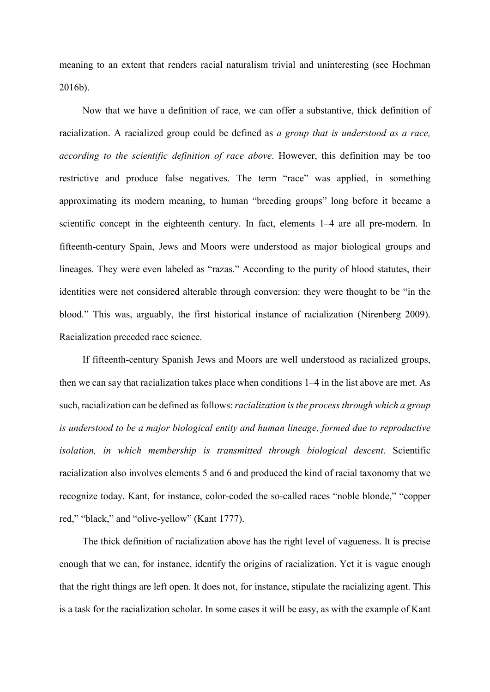meaning to an extent that renders racial naturalism trivial and uninteresting (see Hochman 2016b).

Now that we have a definition of race, we can offer a substantive, thick definition of racialization. A racialized group could be defined as a group that is understood as a race, according to the scientific definition of race above. However, this definition may be too restrictive and produce false negatives. The term "race" was applied, in something approximating its modern meaning, to human "breeding groups" long before it became a scientific concept in the eighteenth century. In fact, elements 1–4 are all pre-modern. In fifteenth-century Spain, Jews and Moors were understood as major biological groups and lineages. They were even labeled as "razas." According to the purity of blood statutes, their identities were not considered alterable through conversion: they were thought to be "in the blood." This was, arguably, the first historical instance of racialization (Nirenberg 2009). Racialization preceded race science.

If fifteenth-century Spanish Jews and Moors are well understood as racialized groups, then we can say that racialization takes place when conditions 1–4 in the list above are met. As such, racialization can be defined as follows: *racialization is the process through which a group* is understood to be a major biological entity and human lineage, formed due to reproductive isolation, in which membership is transmitted through biological descent. Scientific racialization also involves elements 5 and 6 and produced the kind of racial taxonomy that we recognize today. Kant, for instance, color-coded the so-called races "noble blonde," "copper red," "black," and "olive-yellow" (Kant 1777).

The thick definition of racialization above has the right level of vagueness. It is precise enough that we can, for instance, identify the origins of racialization. Yet it is vague enough that the right things are left open. It does not, for instance, stipulate the racializing agent. This is a task for the racialization scholar. In some cases it will be easy, as with the example of Kant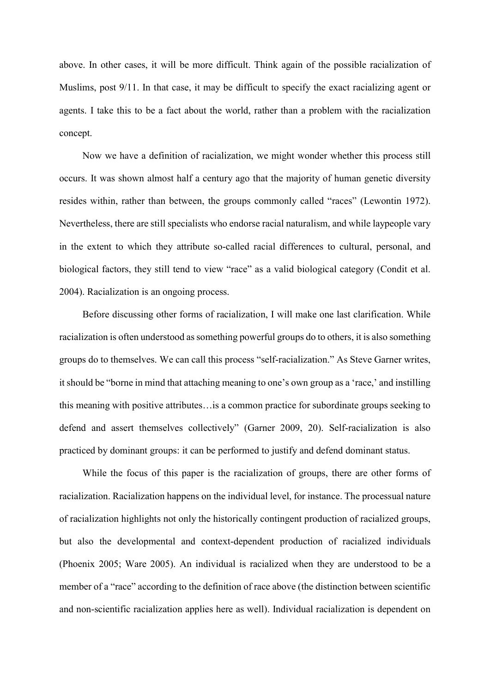above. In other cases, it will be more difficult. Think again of the possible racialization of Muslims, post 9/11. In that case, it may be difficult to specify the exact racializing agent or agents. I take this to be a fact about the world, rather than a problem with the racialization concept.

Now we have a definition of racialization, we might wonder whether this process still occurs. It was shown almost half a century ago that the majority of human genetic diversity resides within, rather than between, the groups commonly called "races" (Lewontin 1972). Nevertheless, there are still specialists who endorse racial naturalism, and while laypeople vary in the extent to which they attribute so-called racial differences to cultural, personal, and biological factors, they still tend to view "race" as a valid biological category (Condit et al. 2004). Racialization is an ongoing process.

Before discussing other forms of racialization, I will make one last clarification. While racialization is often understood as something powerful groups do to others, it is also something groups do to themselves. We can call this process "self-racialization." As Steve Garner writes, it should be "borne in mind that attaching meaning to one's own group as a 'race,' and instilling this meaning with positive attributes…is a common practice for subordinate groups seeking to defend and assert themselves collectively" (Garner 2009, 20). Self-racialization is also practiced by dominant groups: it can be performed to justify and defend dominant status.

While the focus of this paper is the racialization of groups, there are other forms of racialization. Racialization happens on the individual level, for instance. The processual nature of racialization highlights not only the historically contingent production of racialized groups, but also the developmental and context-dependent production of racialized individuals (Phoenix 2005; Ware 2005). An individual is racialized when they are understood to be a member of a "race" according to the definition of race above (the distinction between scientific and non-scientific racialization applies here as well). Individual racialization is dependent on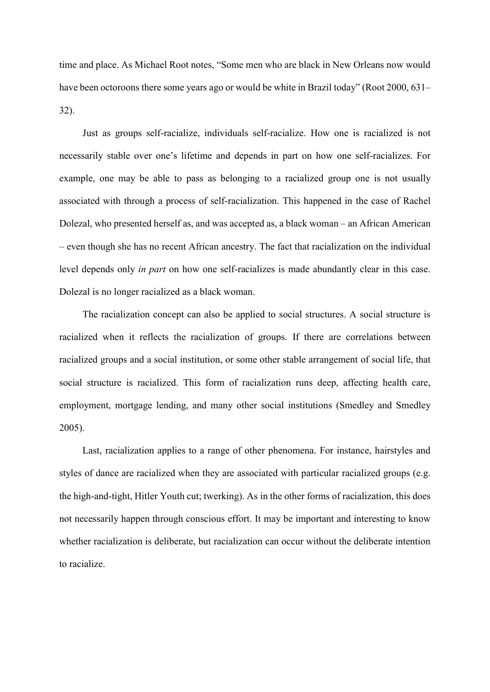time and place. As Michael Root notes, "Some men who are black in New Orleans now would have been octoroons there some years ago or would be white in Brazil today" (Root 2000, 631– 32).

Just as groups self-racialize, individuals self-racialize. How one is racialized is not necessarily stable over one's lifetime and depends in part on how one self-racializes. For example, one may be able to pass as belonging to a racialized group one is not usually associated with through a process of self-racialization. This happened in the case of Rachel Dolezal, who presented herself as, and was accepted as, a black woman – an African American – even though she has no recent African ancestry. The fact that racialization on the individual level depends only in part on how one self-racializes is made abundantly clear in this case. Dolezal is no longer racialized as a black woman.

The racialization concept can also be applied to social structures. A social structure is racialized when it reflects the racialization of groups. If there are correlations between racialized groups and a social institution, or some other stable arrangement of social life, that social structure is racialized. This form of racialization runs deep, affecting health care, employment, mortgage lending, and many other social institutions (Smedley and Smedley 2005).

Last, racialization applies to a range of other phenomena. For instance, hairstyles and styles of dance are racialized when they are associated with particular racialized groups (e.g. the high-and-tight, Hitler Youth cut; twerking). As in the other forms of racialization, this does not necessarily happen through conscious effort. It may be important and interesting to know whether racialization is deliberate, but racialization can occur without the deliberate intention to racialize.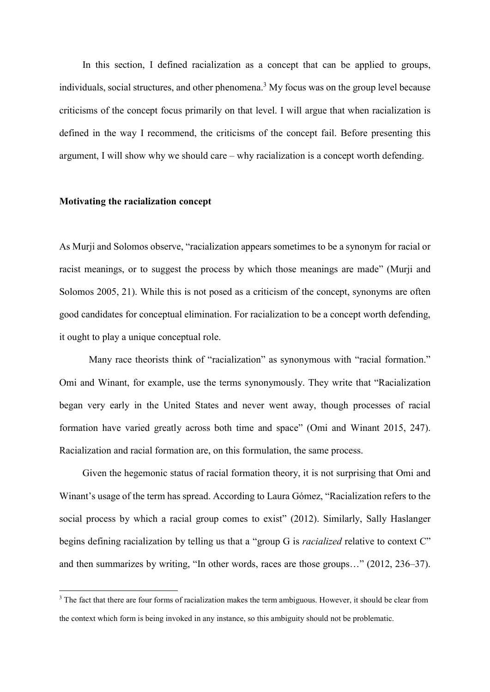In this section, I defined racialization as a concept that can be applied to groups, individuals, social structures, and other phenomena.<sup>3</sup> My focus was on the group level because criticisms of the concept focus primarily on that level. I will argue that when racialization is defined in the way I recommend, the criticisms of the concept fail. Before presenting this argument, I will show why we should care – why racialization is a concept worth defending.

#### Motivating the racialization concept

-

As Murji and Solomos observe, "racialization appears sometimes to be a synonym for racial or racist meanings, or to suggest the process by which those meanings are made" (Murji and Solomos 2005, 21). While this is not posed as a criticism of the concept, synonyms are often good candidates for conceptual elimination. For racialization to be a concept worth defending, it ought to play a unique conceptual role.

 Many race theorists think of "racialization" as synonymous with "racial formation." Omi and Winant, for example, use the terms synonymously. They write that "Racialization began very early in the United States and never went away, though processes of racial formation have varied greatly across both time and space" (Omi and Winant 2015, 247). Racialization and racial formation are, on this formulation, the same process.

Given the hegemonic status of racial formation theory, it is not surprising that Omi and Winant's usage of the term has spread. According to Laura Gómez, "Racialization refers to the social process by which a racial group comes to exist" (2012). Similarly, Sally Haslanger begins defining racialization by telling us that a "group G is *racialized* relative to context C" and then summarizes by writing, "In other words, races are those groups…" (2012, 236–37).

<sup>&</sup>lt;sup>3</sup> The fact that there are four forms of racialization makes the term ambiguous. However, it should be clear from the context which form is being invoked in any instance, so this ambiguity should not be problematic.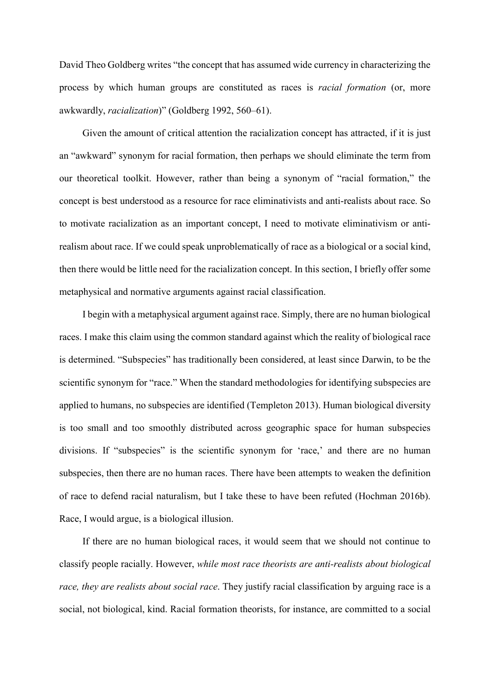David Theo Goldberg writes "the concept that has assumed wide currency in characterizing the process by which human groups are constituted as races is racial formation (or, more awkwardly, racialization)" (Goldberg 1992, 560–61).

Given the amount of critical attention the racialization concept has attracted, if it is just an "awkward" synonym for racial formation, then perhaps we should eliminate the term from our theoretical toolkit. However, rather than being a synonym of "racial formation," the concept is best understood as a resource for race eliminativists and anti-realists about race. So to motivate racialization as an important concept, I need to motivate eliminativism or antirealism about race. If we could speak unproblematically of race as a biological or a social kind, then there would be little need for the racialization concept. In this section, I briefly offer some metaphysical and normative arguments against racial classification.

I begin with a metaphysical argument against race. Simply, there are no human biological races. I make this claim using the common standard against which the reality of biological race is determined. "Subspecies" has traditionally been considered, at least since Darwin, to be the scientific synonym for "race." When the standard methodologies for identifying subspecies are applied to humans, no subspecies are identified (Templeton 2013). Human biological diversity is too small and too smoothly distributed across geographic space for human subspecies divisions. If "subspecies" is the scientific synonym for 'race,' and there are no human subspecies, then there are no human races. There have been attempts to weaken the definition of race to defend racial naturalism, but I take these to have been refuted (Hochman 2016b). Race, I would argue, is a biological illusion.

If there are no human biological races, it would seem that we should not continue to classify people racially. However, while most race theorists are anti-realists about biological race, they are realists about social race. They justify racial classification by arguing race is a social, not biological, kind. Racial formation theorists, for instance, are committed to a social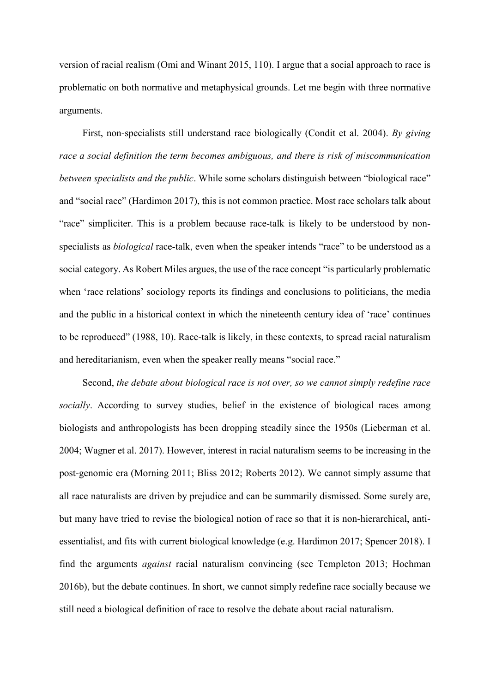version of racial realism (Omi and Winant 2015, 110). I argue that a social approach to race is problematic on both normative and metaphysical grounds. Let me begin with three normative arguments.

First, non-specialists still understand race biologically (Condit et al. 2004). By giving race a social definition the term becomes ambiguous, and there is risk of miscommunication between specialists and the public. While some scholars distinguish between "biological race" and "social race" (Hardimon 2017), this is not common practice. Most race scholars talk about "race" simpliciter. This is a problem because race-talk is likely to be understood by nonspecialists as *biological* race-talk, even when the speaker intends "race" to be understood as a social category. As Robert Miles argues, the use of the race concept "is particularly problematic when 'race relations' sociology reports its findings and conclusions to politicians, the media and the public in a historical context in which the nineteenth century idea of 'race' continues to be reproduced" (1988, 10). Race-talk is likely, in these contexts, to spread racial naturalism and hereditarianism, even when the speaker really means "social race."

Second, the debate about biological race is not over, so we cannot simply redefine race socially. According to survey studies, belief in the existence of biological races among biologists and anthropologists has been dropping steadily since the 1950s (Lieberman et al. 2004; Wagner et al. 2017). However, interest in racial naturalism seems to be increasing in the post-genomic era (Morning 2011; Bliss 2012; Roberts 2012). We cannot simply assume that all race naturalists are driven by prejudice and can be summarily dismissed. Some surely are, but many have tried to revise the biological notion of race so that it is non-hierarchical, antiessentialist, and fits with current biological knowledge (e.g. Hardimon 2017; Spencer 2018). I find the arguments against racial naturalism convincing (see Templeton 2013; Hochman 2016b), but the debate continues. In short, we cannot simply redefine race socially because we still need a biological definition of race to resolve the debate about racial naturalism.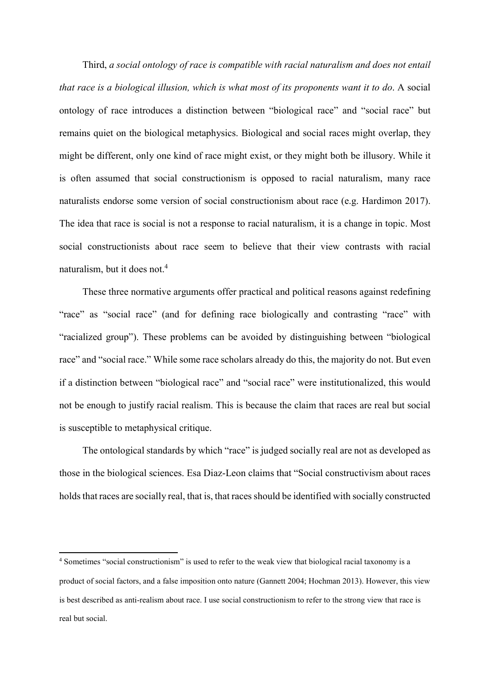Third, a social ontology of race is compatible with racial naturalism and does not entail that race is a biological illusion, which is what most of its proponents want it to do. A social ontology of race introduces a distinction between "biological race" and "social race" but remains quiet on the biological metaphysics. Biological and social races might overlap, they might be different, only one kind of race might exist, or they might both be illusory. While it is often assumed that social constructionism is opposed to racial naturalism, many race naturalists endorse some version of social constructionism about race (e.g. Hardimon 2017). The idea that race is social is not a response to racial naturalism, it is a change in topic. Most social constructionists about race seem to believe that their view contrasts with racial naturalism, but it does not.<sup>4</sup>

These three normative arguments offer practical and political reasons against redefining "race" as "social race" (and for defining race biologically and contrasting "race" with "racialized group"). These problems can be avoided by distinguishing between "biological race" and "social race." While some race scholars already do this, the majority do not. But even if a distinction between "biological race" and "social race" were institutionalized, this would not be enough to justify racial realism. This is because the claim that races are real but social is susceptible to metaphysical critique.

The ontological standards by which "race" is judged socially real are not as developed as those in the biological sciences. Esa Diaz-Leon claims that "Social constructivism about races holds that races are socially real, that is, that races should be identified with socially constructed

-

<sup>4</sup> Sometimes "social constructionism" is used to refer to the weak view that biological racial taxonomy is a product of social factors, and a false imposition onto nature (Gannett 2004; Hochman 2013). However, this view is best described as anti-realism about race. I use social constructionism to refer to the strong view that race is real but social.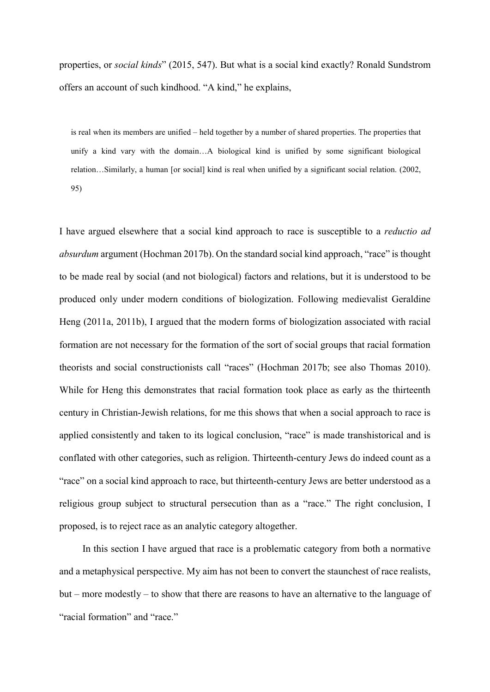properties, or social kinds" (2015, 547). But what is a social kind exactly? Ronald Sundstrom offers an account of such kindhood. "A kind," he explains,

is real when its members are unified – held together by a number of shared properties. The properties that unify a kind vary with the domain…A biological kind is unified by some significant biological relation…Similarly, a human [or social] kind is real when unified by a significant social relation. (2002, 95)

I have argued elsewhere that a social kind approach to race is susceptible to a reductio ad absurdum argument (Hochman 2017b). On the standard social kind approach, "race" is thought to be made real by social (and not biological) factors and relations, but it is understood to be produced only under modern conditions of biologization. Following medievalist Geraldine Heng (2011a, 2011b), I argued that the modern forms of biologization associated with racial formation are not necessary for the formation of the sort of social groups that racial formation theorists and social constructionists call "races" (Hochman 2017b; see also Thomas 2010). While for Heng this demonstrates that racial formation took place as early as the thirteenth century in Christian-Jewish relations, for me this shows that when a social approach to race is applied consistently and taken to its logical conclusion, "race" is made transhistorical and is conflated with other categories, such as religion. Thirteenth-century Jews do indeed count as a "race" on a social kind approach to race, but thirteenth-century Jews are better understood as a religious group subject to structural persecution than as a "race." The right conclusion, I proposed, is to reject race as an analytic category altogether.

In this section I have argued that race is a problematic category from both a normative and a metaphysical perspective. My aim has not been to convert the staunchest of race realists, but – more modestly – to show that there are reasons to have an alternative to the language of "racial formation" and "race."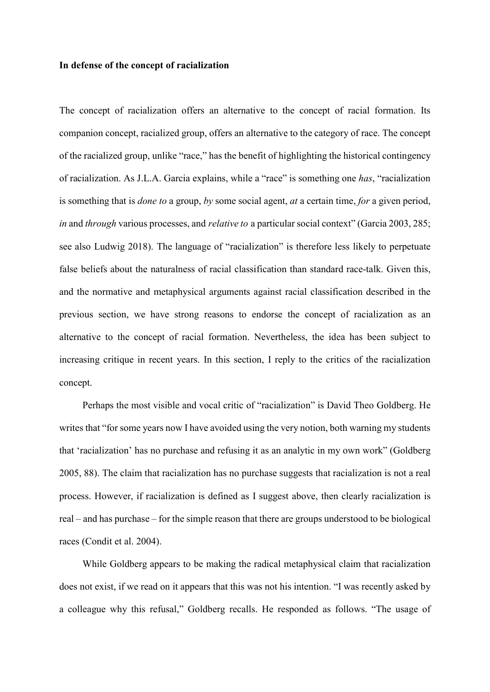#### In defense of the concept of racialization

The concept of racialization offers an alternative to the concept of racial formation. Its companion concept, racialized group, offers an alternative to the category of race. The concept of the racialized group, unlike "race," has the benefit of highlighting the historical contingency of racialization. As J.L.A. Garcia explains, while a "race" is something one has, "racialization is something that is *done to* a group, by some social agent, at a certain time, for a given period, in and through various processes, and *relative to* a particular social context" (Garcia 2003, 285; see also Ludwig 2018). The language of "racialization" is therefore less likely to perpetuate false beliefs about the naturalness of racial classification than standard race-talk. Given this, and the normative and metaphysical arguments against racial classification described in the previous section, we have strong reasons to endorse the concept of racialization as an alternative to the concept of racial formation. Nevertheless, the idea has been subject to increasing critique in recent years. In this section, I reply to the critics of the racialization concept.

Perhaps the most visible and vocal critic of "racialization" is David Theo Goldberg. He writes that "for some years now I have avoided using the very notion, both warning my students that 'racialization' has no purchase and refusing it as an analytic in my own work" (Goldberg 2005, 88). The claim that racialization has no purchase suggests that racialization is not a real process. However, if racialization is defined as I suggest above, then clearly racialization is real – and has purchase – for the simple reason that there are groups understood to be biological races (Condit et al. 2004).

While Goldberg appears to be making the radical metaphysical claim that racialization does not exist, if we read on it appears that this was not his intention. "I was recently asked by a colleague why this refusal," Goldberg recalls. He responded as follows. "The usage of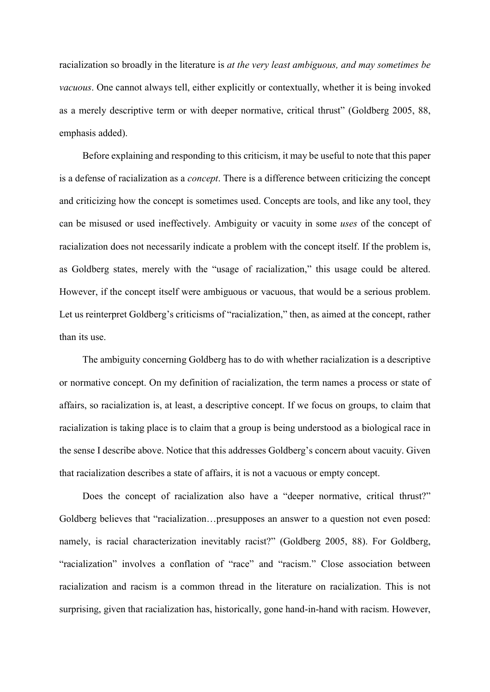racialization so broadly in the literature is at the very least ambiguous, and may sometimes be vacuous. One cannot always tell, either explicitly or contextually, whether it is being invoked as a merely descriptive term or with deeper normative, critical thrust" (Goldberg 2005, 88, emphasis added).

Before explaining and responding to this criticism, it may be useful to note that this paper is a defense of racialization as a concept. There is a difference between criticizing the concept and criticizing how the concept is sometimes used. Concepts are tools, and like any tool, they can be misused or used ineffectively. Ambiguity or vacuity in some uses of the concept of racialization does not necessarily indicate a problem with the concept itself. If the problem is, as Goldberg states, merely with the "usage of racialization," this usage could be altered. However, if the concept itself were ambiguous or vacuous, that would be a serious problem. Let us reinterpret Goldberg's criticisms of "racialization," then, as aimed at the concept, rather than its use.

The ambiguity concerning Goldberg has to do with whether racialization is a descriptive or normative concept. On my definition of racialization, the term names a process or state of affairs, so racialization is, at least, a descriptive concept. If we focus on groups, to claim that racialization is taking place is to claim that a group is being understood as a biological race in the sense I describe above. Notice that this addresses Goldberg's concern about vacuity. Given that racialization describes a state of affairs, it is not a vacuous or empty concept.

Does the concept of racialization also have a "deeper normative, critical thrust?" Goldberg believes that "racialization... presupposes an answer to a question not even posed: namely, is racial characterization inevitably racist?" (Goldberg 2005, 88). For Goldberg, "racialization" involves a conflation of "race" and "racism." Close association between racialization and racism is a common thread in the literature on racialization. This is not surprising, given that racialization has, historically, gone hand-in-hand with racism. However,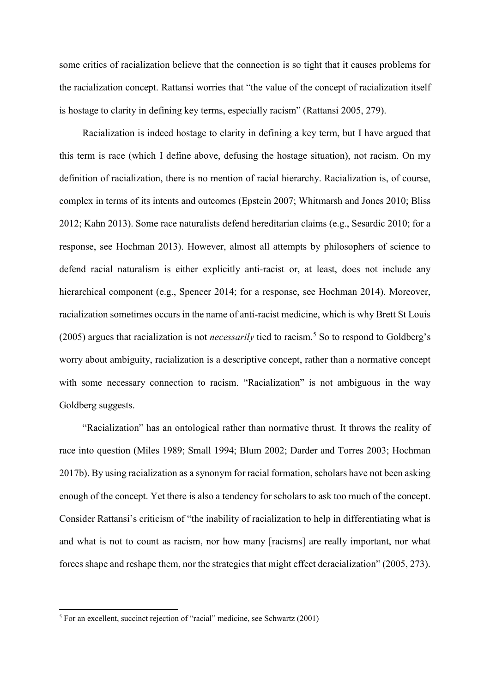some critics of racialization believe that the connection is so tight that it causes problems for the racialization concept. Rattansi worries that "the value of the concept of racialization itself is hostage to clarity in defining key terms, especially racism" (Rattansi 2005, 279).

Racialization is indeed hostage to clarity in defining a key term, but I have argued that this term is race (which I define above, defusing the hostage situation), not racism. On my definition of racialization, there is no mention of racial hierarchy. Racialization is, of course, complex in terms of its intents and outcomes (Epstein 2007; Whitmarsh and Jones 2010; Bliss 2012; Kahn 2013). Some race naturalists defend hereditarian claims (e.g., Sesardic 2010; for a response, see Hochman 2013). However, almost all attempts by philosophers of science to defend racial naturalism is either explicitly anti-racist or, at least, does not include any hierarchical component (e.g., Spencer 2014; for a response, see Hochman 2014). Moreover, racialization sometimes occurs in the name of anti-racist medicine, which is why Brett St Louis (2005) argues that racialization is not *necessarily* tied to racism.<sup>5</sup> So to respond to Goldberg's worry about ambiguity, racialization is a descriptive concept, rather than a normative concept with some necessary connection to racism. "Racialization" is not ambiguous in the way Goldberg suggests.

"Racialization" has an ontological rather than normative thrust. It throws the reality of race into question (Miles 1989; Small 1994; Blum 2002; Darder and Torres 2003; Hochman 2017b). By using racialization as a synonym for racial formation, scholars have not been asking enough of the concept. Yet there is also a tendency for scholars to ask too much of the concept. Consider Rattansi's criticism of "the inability of racialization to help in differentiating what is and what is not to count as racism, nor how many [racisms] are really important, nor what forces shape and reshape them, nor the strategies that might effect deracialization" (2005, 273).

-

<sup>&</sup>lt;sup>5</sup> For an excellent, succinct rejection of "racial" medicine, see Schwartz (2001)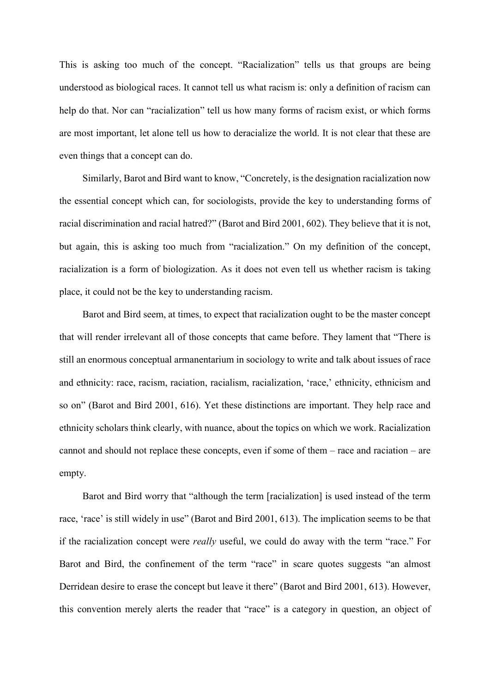This is asking too much of the concept. "Racialization" tells us that groups are being understood as biological races. It cannot tell us what racism is: only a definition of racism can help do that. Nor can "racialization" tell us how many forms of racism exist, or which forms are most important, let alone tell us how to deracialize the world. It is not clear that these are even things that a concept can do.

Similarly, Barot and Bird want to know, "Concretely, is the designation racialization now the essential concept which can, for sociologists, provide the key to understanding forms of racial discrimination and racial hatred?" (Barot and Bird 2001, 602). They believe that it is not, but again, this is asking too much from "racialization." On my definition of the concept, racialization is a form of biologization. As it does not even tell us whether racism is taking place, it could not be the key to understanding racism.

Barot and Bird seem, at times, to expect that racialization ought to be the master concept that will render irrelevant all of those concepts that came before. They lament that "There is still an enormous conceptual armanentarium in sociology to write and talk about issues of race and ethnicity: race, racism, raciation, racialism, racialization, 'race,' ethnicity, ethnicism and so on" (Barot and Bird 2001, 616). Yet these distinctions are important. They help race and ethnicity scholars think clearly, with nuance, about the topics on which we work. Racialization cannot and should not replace these concepts, even if some of them – race and raciation – are empty.

Barot and Bird worry that "although the term [racialization] is used instead of the term race, 'race' is still widely in use" (Barot and Bird 2001, 613). The implication seems to be that if the racialization concept were really useful, we could do away with the term "race." For Barot and Bird, the confinement of the term "race" in scare quotes suggests "an almost Derridean desire to erase the concept but leave it there" (Barot and Bird 2001, 613). However, this convention merely alerts the reader that "race" is a category in question, an object of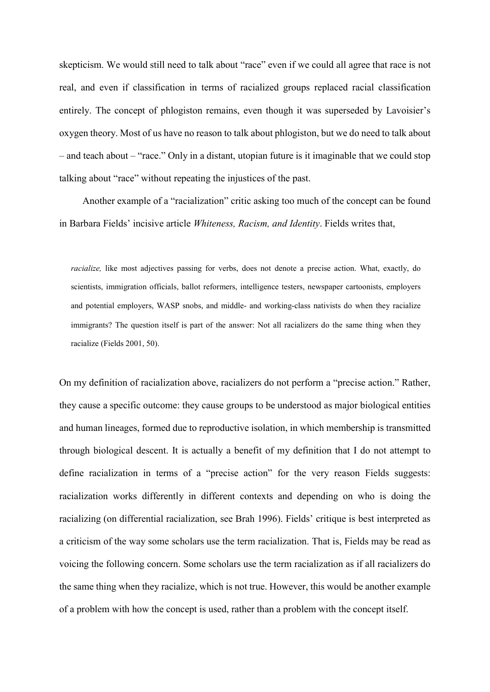skepticism. We would still need to talk about "race" even if we could all agree that race is not real, and even if classification in terms of racialized groups replaced racial classification entirely. The concept of phlogiston remains, even though it was superseded by Lavoisier's oxygen theory. Most of us have no reason to talk about phlogiston, but we do need to talk about – and teach about – "race." Only in a distant, utopian future is it imaginable that we could stop talking about "race" without repeating the injustices of the past.

Another example of a "racialization" critic asking too much of the concept can be found in Barbara Fields' incisive article Whiteness, Racism, and Identity. Fields writes that,

racialize, like most adjectives passing for verbs, does not denote a precise action. What, exactly, do scientists, immigration officials, ballot reformers, intelligence testers, newspaper cartoonists, employers and potential employers, WASP snobs, and middle- and working-class nativists do when they racialize immigrants? The question itself is part of the answer: Not all racializers do the same thing when they racialize (Fields 2001, 50).

On my definition of racialization above, racializers do not perform a "precise action." Rather, they cause a specific outcome: they cause groups to be understood as major biological entities and human lineages, formed due to reproductive isolation, in which membership is transmitted through biological descent. It is actually a benefit of my definition that I do not attempt to define racialization in terms of a "precise action" for the very reason Fields suggests: racialization works differently in different contexts and depending on who is doing the racializing (on differential racialization, see Brah 1996). Fields' critique is best interpreted as a criticism of the way some scholars use the term racialization. That is, Fields may be read as voicing the following concern. Some scholars use the term racialization as if all racializers do the same thing when they racialize, which is not true. However, this would be another example of a problem with how the concept is used, rather than a problem with the concept itself.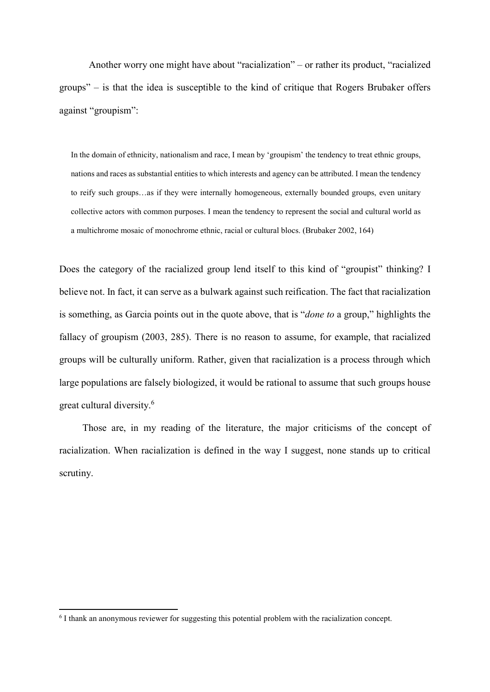Another worry one might have about "racialization" – or rather its product, "racialized groups" – is that the idea is susceptible to the kind of critique that Rogers Brubaker offers against "groupism":

In the domain of ethnicity, nationalism and race, I mean by 'groupism' the tendency to treat ethnic groups, nations and races as substantial entities to which interests and agency can be attributed. I mean the tendency to reify such groups…as if they were internally homogeneous, externally bounded groups, even unitary collective actors with common purposes. I mean the tendency to represent the social and cultural world as a multichrome mosaic of monochrome ethnic, racial or cultural blocs. (Brubaker 2002, 164)

Does the category of the racialized group lend itself to this kind of "groupist" thinking? I believe not. In fact, it can serve as a bulwark against such reification. The fact that racialization is something, as Garcia points out in the quote above, that is "done to a group," highlights the fallacy of groupism (2003, 285). There is no reason to assume, for example, that racialized groups will be culturally uniform. Rather, given that racialization is a process through which large populations are falsely biologized, it would be rational to assume that such groups house great cultural diversity.<sup>6</sup>

Those are, in my reading of the literature, the major criticisms of the concept of racialization. When racialization is defined in the way I suggest, none stands up to critical scrutiny.

-

<sup>6</sup> I thank an anonymous reviewer for suggesting this potential problem with the racialization concept.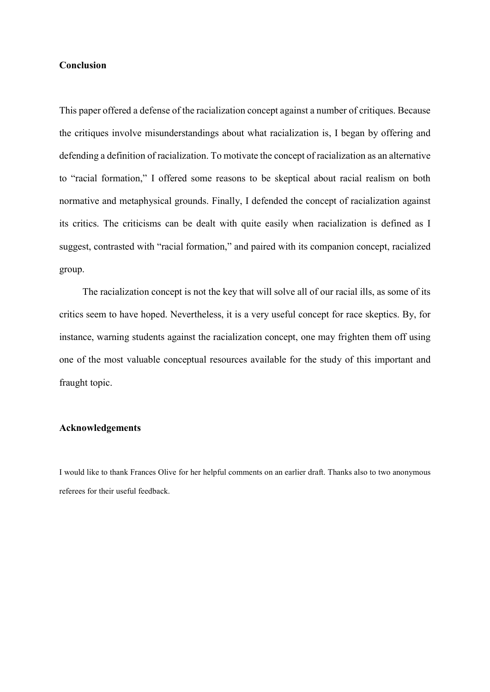# **Conclusion**

This paper offered a defense of the racialization concept against a number of critiques. Because the critiques involve misunderstandings about what racialization is, I began by offering and defending a definition of racialization. To motivate the concept of racialization as an alternative to "racial formation," I offered some reasons to be skeptical about racial realism on both normative and metaphysical grounds. Finally, I defended the concept of racialization against its critics. The criticisms can be dealt with quite easily when racialization is defined as I suggest, contrasted with "racial formation," and paired with its companion concept, racialized group.

The racialization concept is not the key that will solve all of our racial ills, as some of its critics seem to have hoped. Nevertheless, it is a very useful concept for race skeptics. By, for instance, warning students against the racialization concept, one may frighten them off using one of the most valuable conceptual resources available for the study of this important and fraught topic.

# Acknowledgements

I would like to thank Frances Olive for her helpful comments on an earlier draft. Thanks also to two anonymous referees for their useful feedback.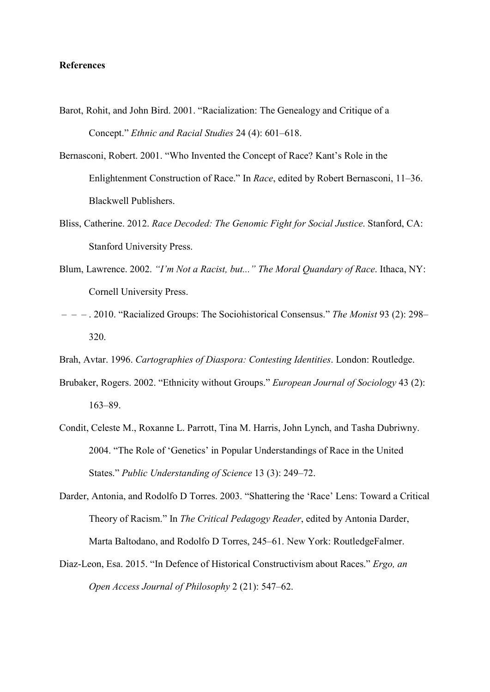# References

- Barot, Rohit, and John Bird. 2001. "Racialization: The Genealogy and Critique of a Concept." Ethnic and Racial Studies 24 (4): 601–618.
- Bernasconi, Robert. 2001. "Who Invented the Concept of Race? Kant's Role in the Enlightenment Construction of Race." In Race, edited by Robert Bernasconi, 11–36. Blackwell Publishers.
- Bliss, Catherine. 2012. Race Decoded: The Genomic Fight for Social Justice. Stanford, CA: Stanford University Press.
- Blum, Lawrence. 2002. "I'm Not a Racist, but..." The Moral Quandary of Race. Ithaca, NY: Cornell University Press.
- – . 2010. "Racialized Groups: The Sociohistorical Consensus." The Monist 93 (2): 298– 320.
- Brah, Avtar. 1996. Cartographies of Diaspora: Contesting Identities. London: Routledge.
- Brubaker, Rogers. 2002. "Ethnicity without Groups." European Journal of Sociology 43 (2): 163–89.
- Condit, Celeste M., Roxanne L. Parrott, Tina M. Harris, John Lynch, and Tasha Dubriwny. 2004. "The Role of 'Genetics' in Popular Understandings of Race in the United States." Public Understanding of Science 13 (3): 249–72.
- Darder, Antonia, and Rodolfo D Torres. 2003. "Shattering the 'Race' Lens: Toward a Critical Theory of Racism." In The Critical Pedagogy Reader, edited by Antonia Darder, Marta Baltodano, and Rodolfo D Torres, 245–61. New York: RoutledgeFalmer.
- Diaz-Leon, Esa. 2015. "In Defence of Historical Constructivism about Races." Ergo, an Open Access Journal of Philosophy 2 (21): 547–62.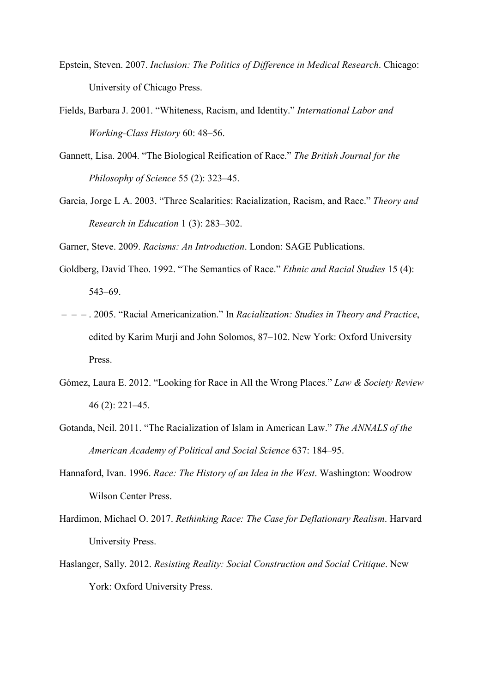- Epstein, Steven. 2007. Inclusion: The Politics of Difference in Medical Research. Chicago: University of Chicago Press.
- Fields, Barbara J. 2001. "Whiteness, Racism, and Identity." International Labor and Working-Class History 60: 48–56.
- Gannett, Lisa. 2004. "The Biological Reification of Race." The British Journal for the Philosophy of Science 55 (2): 323–45.
- Garcia, Jorge L A. 2003. "Three Scalarities: Racialization, Racism, and Race." Theory and Research in Education 1 (3): 283–302.

Garner, Steve. 2009. Racisms: An Introduction. London: SAGE Publications.

- Goldberg, David Theo. 1992. "The Semantics of Race." Ethnic and Racial Studies 15 (4): 543–69.
- – . 2005. "Racial Americanization." In Racialization: Studies in Theory and Practice, edited by Karim Murji and John Solomos, 87–102. New York: Oxford University Press.
- Gómez, Laura E. 2012. "Looking for Race in All the Wrong Places." Law & Society Review 46 (2): 221–45.
- Gotanda, Neil. 2011. "The Racialization of Islam in American Law." The ANNALS of the American Academy of Political and Social Science 637: 184–95.
- Hannaford, Ivan. 1996. Race: The History of an Idea in the West. Washington: Woodrow Wilson Center Press.
- Hardimon, Michael O. 2017. Rethinking Race: The Case for Deflationary Realism. Harvard University Press.
- Haslanger, Sally. 2012. Resisting Reality: Social Construction and Social Critique. New York: Oxford University Press.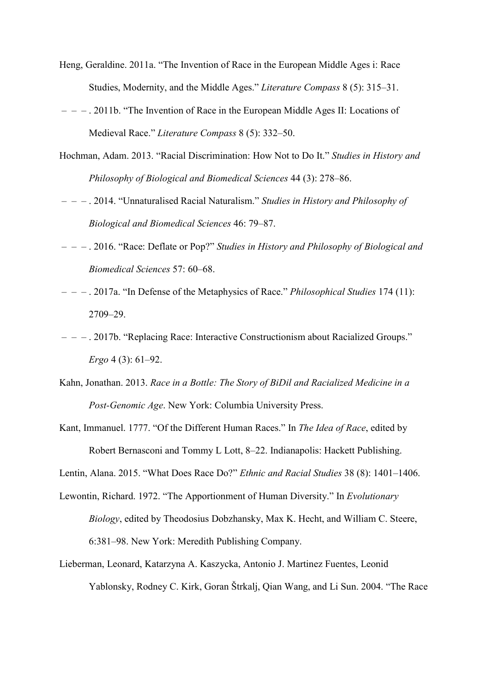- Heng, Geraldine. 2011a. "The Invention of Race in the European Middle Ages i: Race Studies, Modernity, and the Middle Ages." Literature Compass 8 (5): 315–31.
- – . 2011b. "The Invention of Race in the European Middle Ages II: Locations of Medieval Race." Literature Compass 8 (5): 332–50.
- Hochman, Adam. 2013. "Racial Discrimination: How Not to Do It." Studies in History and Philosophy of Biological and Biomedical Sciences 44 (3): 278–86.
- – . 2014. "Unnaturalised Racial Naturalism." Studies in History and Philosophy of Biological and Biomedical Sciences 46: 79–87.
- – . 2016. "Race: Deflate or Pop?" Studies in History and Philosophy of Biological and Biomedical Sciences 57: 60–68.
- $- -$  2017a. "In Defense of the Metaphysics of Race." *Philosophical Studies* 174 (11): 2709–29.
- – . 2017b. "Replacing Race: Interactive Constructionism about Racialized Groups."  $E$ rgo 4 (3): 61–92.
- Kahn, Jonathan. 2013. Race in a Bottle: The Story of BiDil and Racialized Medicine in a Post-Genomic Age. New York: Columbia University Press.
- Kant, Immanuel. 1777. "Of the Different Human Races." In The Idea of Race, edited by Robert Bernasconi and Tommy L Lott, 8–22. Indianapolis: Hackett Publishing.

Lentin, Alana. 2015. "What Does Race Do?" Ethnic and Racial Studies 38 (8): 1401–1406.

- Lewontin, Richard. 1972. "The Apportionment of Human Diversity." In Evolutionary Biology, edited by Theodosius Dobzhansky, Max K. Hecht, and William C. Steere, 6:381–98. New York: Meredith Publishing Company.
- Lieberman, Leonard, Katarzyna A. Kaszycka, Antonio J. Martinez Fuentes, Leonid Yablonsky, Rodney C. Kirk, Goran Štrkalj, Qian Wang, and Li Sun. 2004. "The Race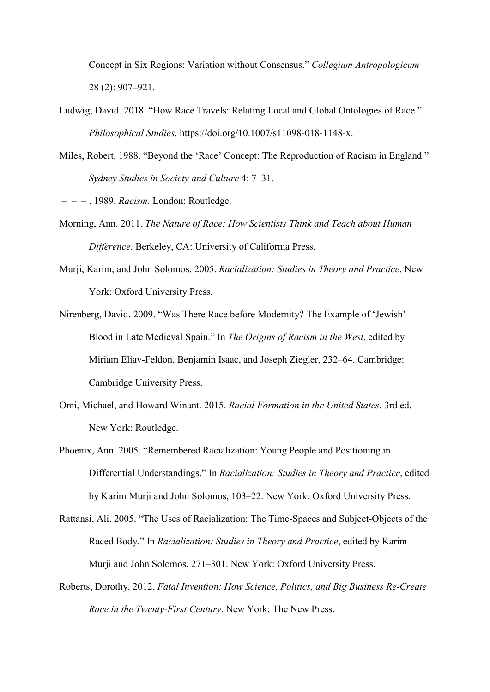Concept in Six Regions: Variation without Consensus." Collegium Antropologicum 28 (2): 907–921.

- Ludwig, David. 2018. "How Race Travels: Relating Local and Global Ontologies of Race." Philosophical Studies. https://doi.org/10.1007/s11098-018-1148-x.
- Miles, Robert. 1988. "Beyond the 'Race' Concept: The Reproduction of Racism in England." Sydney Studies in Society and Culture 4: 7–31.

 $- - -$ . 1989. Racism. London: Routledge.

- Morning, Ann. 2011. The Nature of Race: How Scientists Think and Teach about Human Difference. Berkeley, CA: University of California Press.
- Murji, Karim, and John Solomos. 2005. Racialization: Studies in Theory and Practice. New York: Oxford University Press.
- Nirenberg, David. 2009. "Was There Race before Modernity? The Example of 'Jewish' Blood in Late Medieval Spain." In The Origins of Racism in the West, edited by Miriam Eliav-Feldon, Benjamin Isaac, and Joseph Ziegler, 232–64. Cambridge: Cambridge University Press.
- Omi, Michael, and Howard Winant. 2015. Racial Formation in the United States. 3rd ed. New York: Routledge.
- Phoenix, Ann. 2005. "Remembered Racialization: Young People and Positioning in Differential Understandings." In Racialization: Studies in Theory and Practice, edited by Karim Murji and John Solomos, 103–22. New York: Oxford University Press.
- Rattansi, Ali. 2005. "The Uses of Racialization: The Time-Spaces and Subject-Objects of the Raced Body." In Racialization: Studies in Theory and Practice, edited by Karim Murji and John Solomos, 271–301. New York: Oxford University Press.
- Roberts, Dorothy. 2012. Fatal Invention: How Science, Politics, and Big Business Re-Create Race in the Twenty-First Century. New York: The New Press.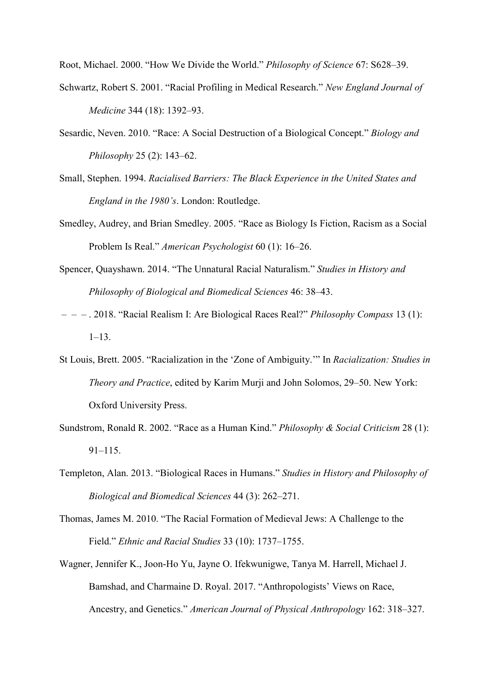Root, Michael. 2000. "How We Divide the World." Philosophy of Science 67: S628–39.

- Schwartz, Robert S. 2001. "Racial Profiling in Medical Research." New England Journal of Medicine 344 (18): 1392–93.
- Sesardic, Neven. 2010. "Race: A Social Destruction of a Biological Concept." Biology and Philosophy 25 (2): 143–62.
- Small, Stephen. 1994. Racialised Barriers: The Black Experience in the United States and England in the 1980's. London: Routledge.
- Smedley, Audrey, and Brian Smedley. 2005. "Race as Biology Is Fiction, Racism as a Social Problem Is Real." American Psychologist 60 (1): 16–26.
- Spencer, Quayshawn. 2014. "The Unnatural Racial Naturalism." Studies in History and Philosophy of Biological and Biomedical Sciences 46: 38–43.
- – . 2018. "Racial Realism I: Are Biological Races Real?" Philosophy Compass 13 (1): 1–13.
- St Louis, Brett. 2005. "Racialization in the 'Zone of Ambiguity.'" In Racialization: Studies in Theory and Practice, edited by Karim Murji and John Solomos, 29–50. New York: Oxford University Press.
- Sundstrom, Ronald R. 2002. "Race as a Human Kind." Philosophy & Social Criticism 28 (1): 91–115.
- Templeton, Alan. 2013. "Biological Races in Humans." Studies in History and Philosophy of Biological and Biomedical Sciences 44 (3): 262–271.
- Thomas, James M. 2010. "The Racial Formation of Medieval Jews: A Challenge to the Field." Ethnic and Racial Studies 33 (10): 1737–1755.
- Wagner, Jennifer K., Joon-Ho Yu, Jayne O. Ifekwunigwe, Tanya M. Harrell, Michael J. Bamshad, and Charmaine D. Royal. 2017. "Anthropologists' Views on Race, Ancestry, and Genetics." American Journal of Physical Anthropology 162: 318–327.